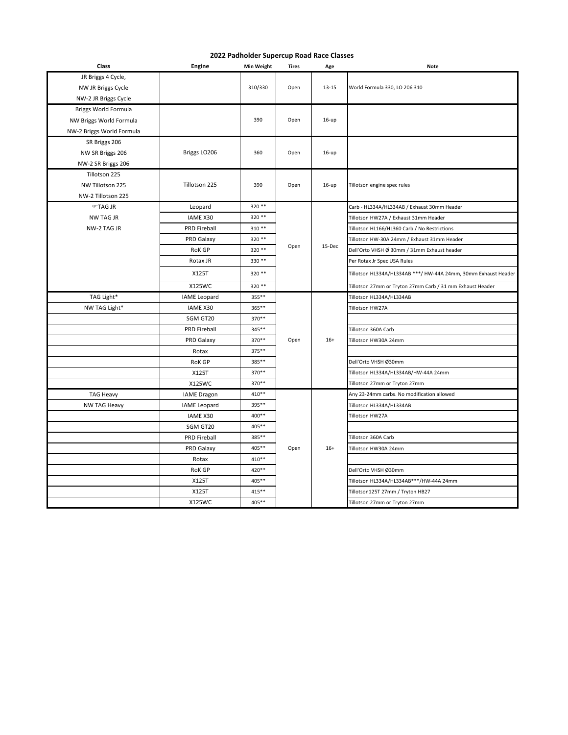| Class                     | <b>Engine</b>       | <b>Min Weight</b> | Tires | Age     | <b>Note</b>                                                    |
|---------------------------|---------------------|-------------------|-------|---------|----------------------------------------------------------------|
| JR Briggs 4 Cycle,        |                     |                   |       |         |                                                                |
| NW JR Briggs Cycle        |                     | 310/330           | Open  | 13-15   | World Formula 330, LO 206 310                                  |
| NW-2 JR Briggs Cycle      |                     |                   |       |         |                                                                |
| Briggs World Formula      |                     |                   |       |         |                                                                |
| NW Briggs World Formula   |                     | 390               | Open  | $16-up$ |                                                                |
| NW-2 Briggs World Formula |                     |                   |       |         |                                                                |
| SR Briggs 206             |                     |                   |       |         |                                                                |
| NW SR Briggs 206          | Briggs LO206        | 360               | Open  | $16-up$ |                                                                |
| NW-2 SR Briggs 206        |                     |                   |       |         |                                                                |
| Tillotson 225             |                     |                   |       |         |                                                                |
| NW Tillotson 225          | Tillotson 225       | 390               | Open  | $16-up$ | Tillotson engine spec rules                                    |
| NW-2 Tillotson 225        |                     |                   |       |         |                                                                |
| ீ⊤AG JR                   | Leopard             | 320 **            |       |         | Carb - HL334A/HL334AB / Exhaust 30mm Header                    |
| <b>NW TAG JR</b>          | <b>IAME X30</b>     | 320 **            |       |         | Tillotson HW27A / Exhaust 31mm Header                          |
| NW-2 TAG JR               | <b>PRD Fireball</b> | 310 **            |       |         | Tillotson HL166/HL360 Carb / No Restrictions                   |
|                           | PRD Galaxy          | 320 **            |       |         | Tillotson HW-30A 24mm / Exhaust 31mm Header                    |
|                           | <b>RoK GP</b>       | 320 **            | Open  | 15-Dec  | Dell'Orto VHSH Ø 30mm / 31mm Exhaust header                    |
|                           | Rotax JR            | 330 **            |       |         | Per Rotax Jr Spec USA Rules                                    |
|                           | X125T               | 320 **            |       |         | Tillotson HL334A/HL334AB ***/ HW-44A 24mm, 30mm Exhaust Header |
|                           | X125WC              | 320 **            |       |         | Tillotson 27mm or Tryton 27mm Carb / 31 mm Exhaust Header      |
| TAG Light*                | <b>IAME Leopard</b> | 355**             |       |         | Tillotson HL334A/HL334AB                                       |
| NW TAG Light*             | <b>IAME X30</b>     | 365**             |       |         | Tillotson HW27A                                                |
|                           | SGM GT20            | 370**             |       |         |                                                                |
|                           | <b>PRD Fireball</b> | 345**             |       |         | Tillotson 360A Carb                                            |
|                           | PRD Galaxy          | 370**             | Open  | $16+$   | Tillotson HW30A 24mm                                           |
|                           | Rotax               | 375**             |       |         |                                                                |
|                           | <b>RoK GP</b>       | 385**             |       |         | Dell'Orto VHSH Ø30mm                                           |
|                           | X125T               | 370 **            |       |         | Tillotson HL334A/HL334AB/HW-44A 24mm                           |
|                           | X125WC              | 370**             |       |         | Tillotson 27mm or Tryton 27mm                                  |
| <b>TAG Heavy</b>          | <b>IAME</b> Dragon  | 410**             |       |         | Any 23-24mm carbs. No modification allowed                     |
| NW TAG Heavy              | IAME Leopard        | 395**             |       |         | Tillotson HL334A/HL334AB                                       |
|                           | <b>IAME X30</b>     | 400**             |       |         | Tillotson HW27A                                                |
|                           | SGM GT20            | 405**             |       |         |                                                                |
|                           | <b>PRD Fireball</b> | 385**             |       |         | Tillotson 360A Carb                                            |
|                           | PRD Galaxy          | 405**             | Open  | $16+$   | Tillotson HW30A 24mm                                           |
|                           | Rotax               | 410**             |       |         |                                                                |
|                           | <b>RoK GP</b>       | 420**             |       |         | Dell'Orto VHSH Ø30mm                                           |
|                           | X125T               | 405**             |       |         | Tillotson HL334A/HL334AB***/HW-44A 24mm                        |
|                           | X125T               | 415**             |       |         | Tillotson125T 27mm / Tryton HB27                               |
|                           | X125WC              | 405**             |       |         | Tillotson 27mm or Tryton 27mm                                  |

## **2022 Padholder Supercup Road Race Classes**